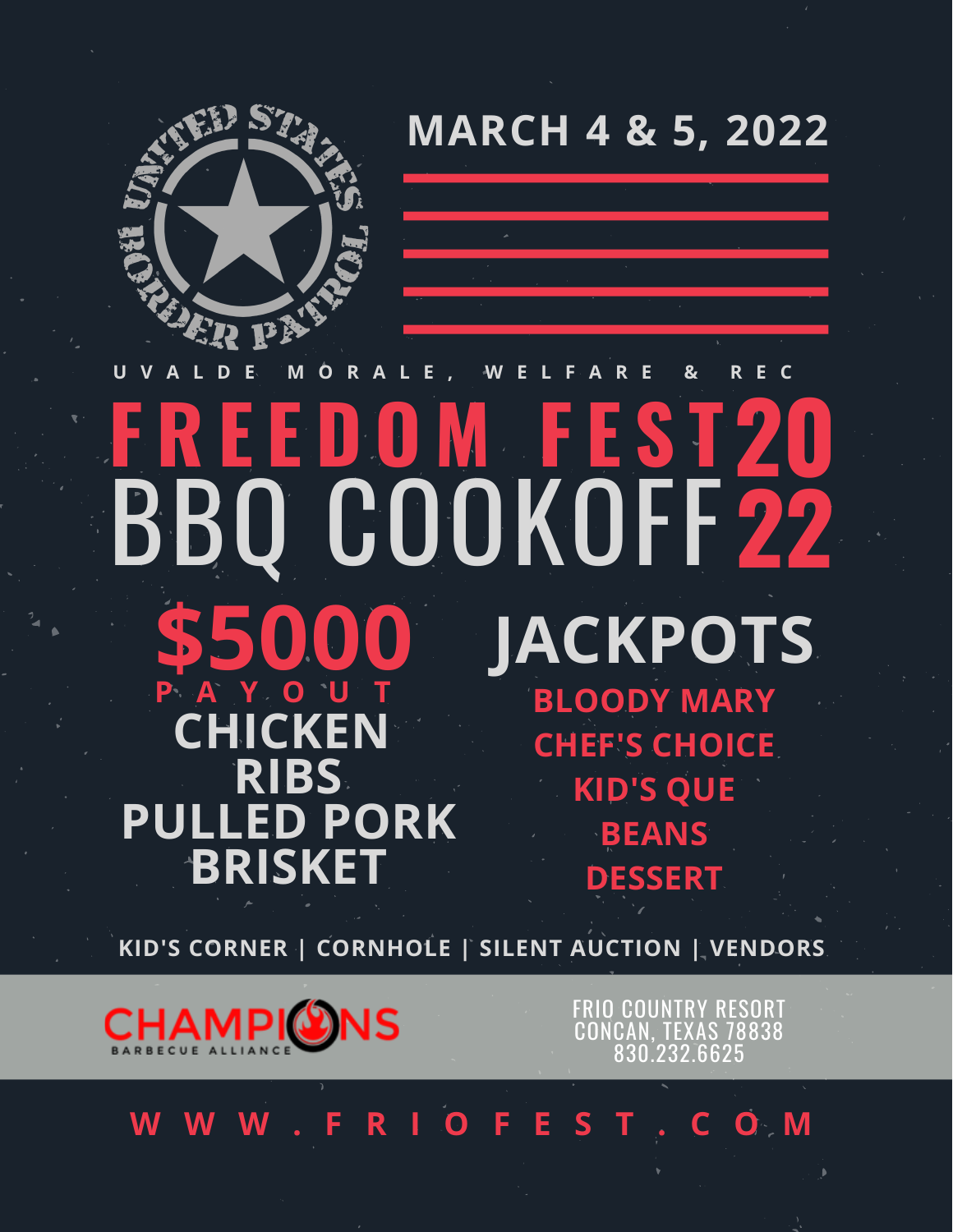**MARCH 4 & 5, 2022**



#### BBQ COOKOFF **22 F R E E D O M F E S T20 U V A L D E M O R A L E , W E L F A R E & R E C CHICKEN RIBS PULLED PORK BRISKET JACKPOTS BLOODY MARY CHEF'S CHOICE KID'S QUE BEANS DESSERT \$5000 P A Y O U T**

**KID'S CORNER | CORNHOLE | SILENT AUCTION | VENDORS**



FRIO COUNTRY RESORT CONCAN, TEXAS 78838 830.232.6625

# **W W W . F R I O F E S T . C O M**